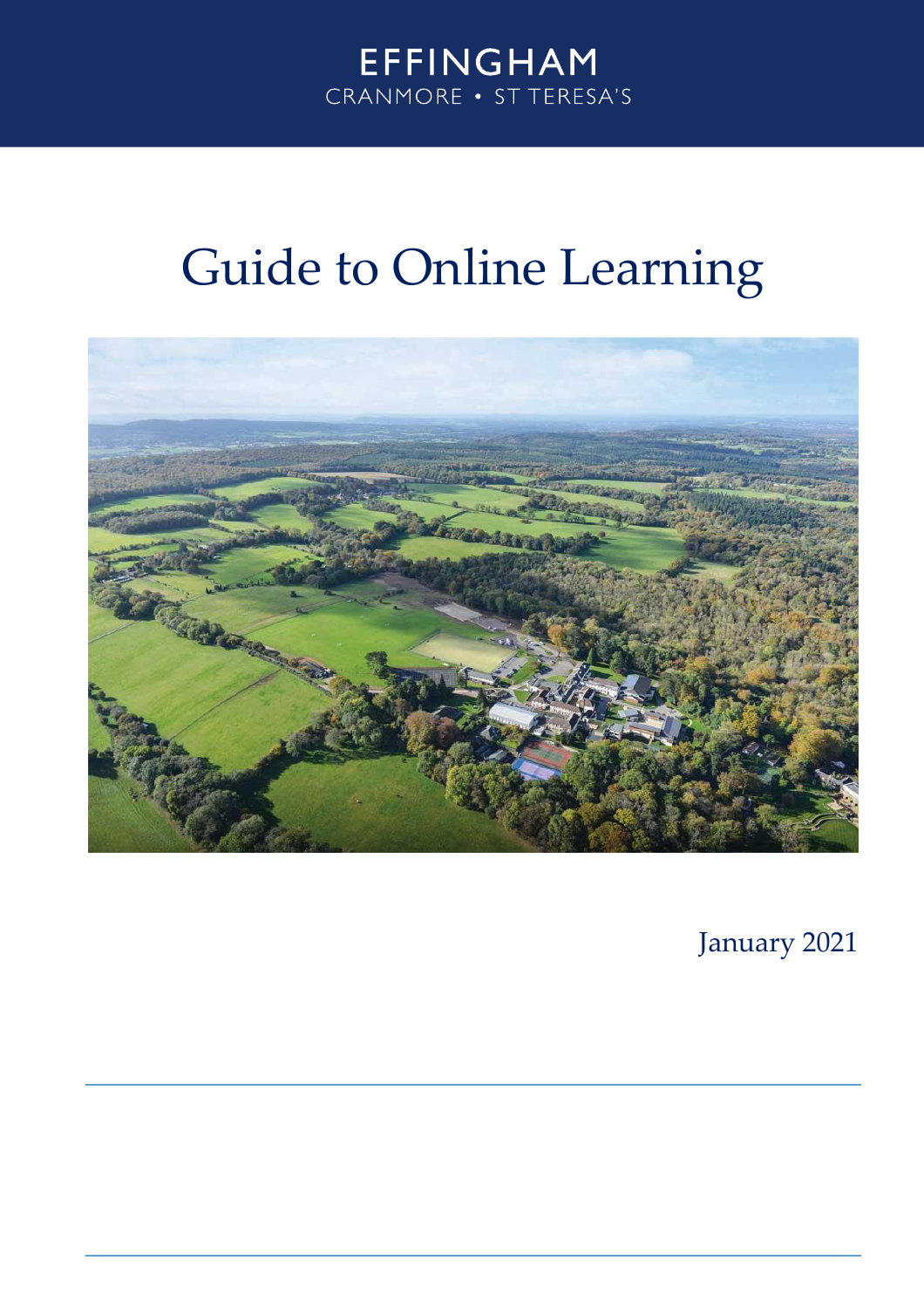# **EFFINGHAM** CRANMORE . ST TERESA'S

# Guide to Online Learning



January 2021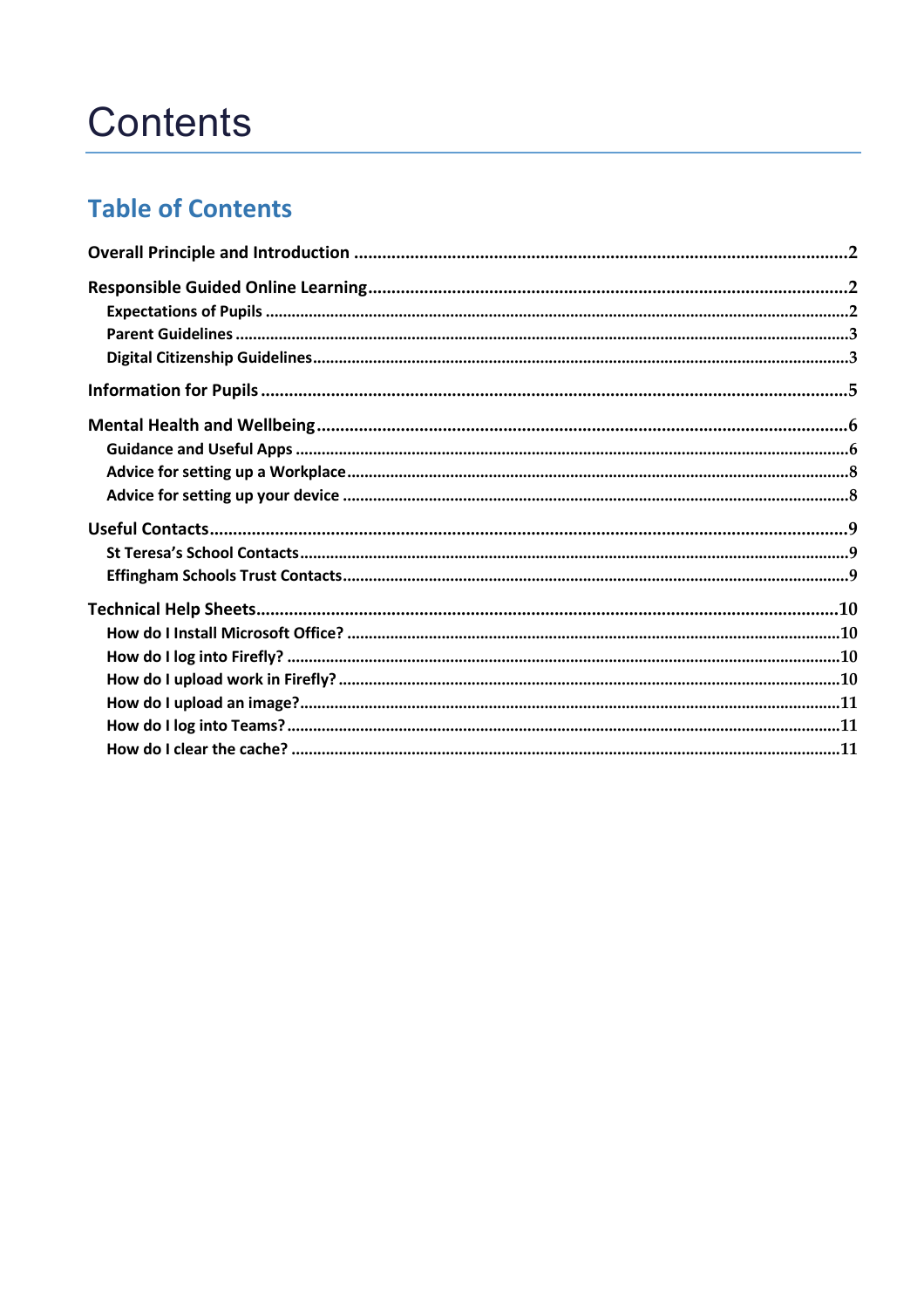# **Contents**

# **Table of Contents**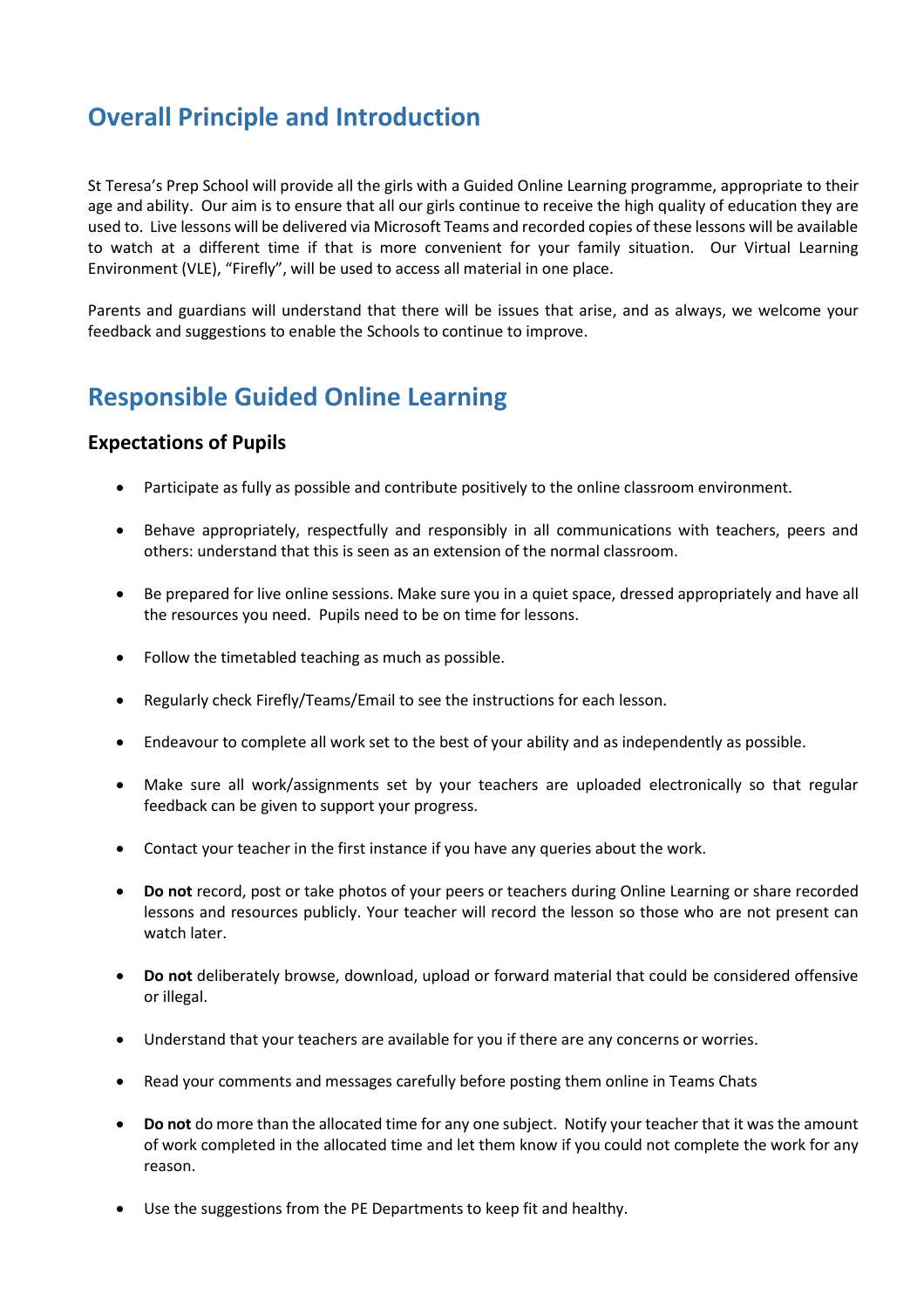## <span id="page-2-0"></span>**Overall Principle and Introduction**

St Teresa's Prep School will provide all the girls with a Guided Online Learning programme, appropriate to their age and ability. Our aim is to ensure that all our girls continue to receive the high quality of education they are used to. Live lessons will be delivered via Microsoft Teams and recorded copies of these lessons will be available to watch at a different time if that is more convenient for your family situation. Our Virtual Learning Environment (VLE), "Firefly", will be used to access all material in one place.

Parents and guardians will understand that there will be issues that arise, and as always, we welcome your feedback and suggestions to enable the Schools to continue to improve.

## <span id="page-2-1"></span>**Responsible Guided Online Learning**

## <span id="page-2-2"></span>**Expectations of Pupils**

- Participate as fully as possible and contribute positively to the online classroom environment.
- Behave appropriately, respectfully and responsibly in all communications with teachers, peers and others: understand that this is seen as an extension of the normal classroom.
- Be prepared for live online sessions. Make sure you in a quiet space, dressed appropriately and have all the resources you need. Pupils need to be on time for lessons.
- Follow the timetabled teaching as much as possible.
- Regularly check Firefly/Teams/Email to see the instructions for each lesson.
- Endeavour to complete all work set to the best of your ability and as independently as possible.
- Make sure all work/assignments set by your teachers are uploaded electronically so that regular feedback can be given to support your progress.
- Contact your teacher in the first instance if you have any queries about the work.
- **•** Do not record, post or take photos of your peers or teachers during Online Learning or share recorded lessons and resources publicly. Your teacher will record the lesson so those who are not present can watch later.
- **Do not** deliberately browse, download, upload or forward material that could be considered offensive or illegal.
- Understand that your teachers are available for you if there are any concerns or worries.
- Read your comments and messages carefully before posting them online in Teams Chats
- **Do not** do more than the allocated time for any one subject. Notify your teacher that it was the amount of work completed in the allocated time and let them know if you could not complete the work for any reason.
- Use the suggestions from the PE Departments to keep fit and healthy.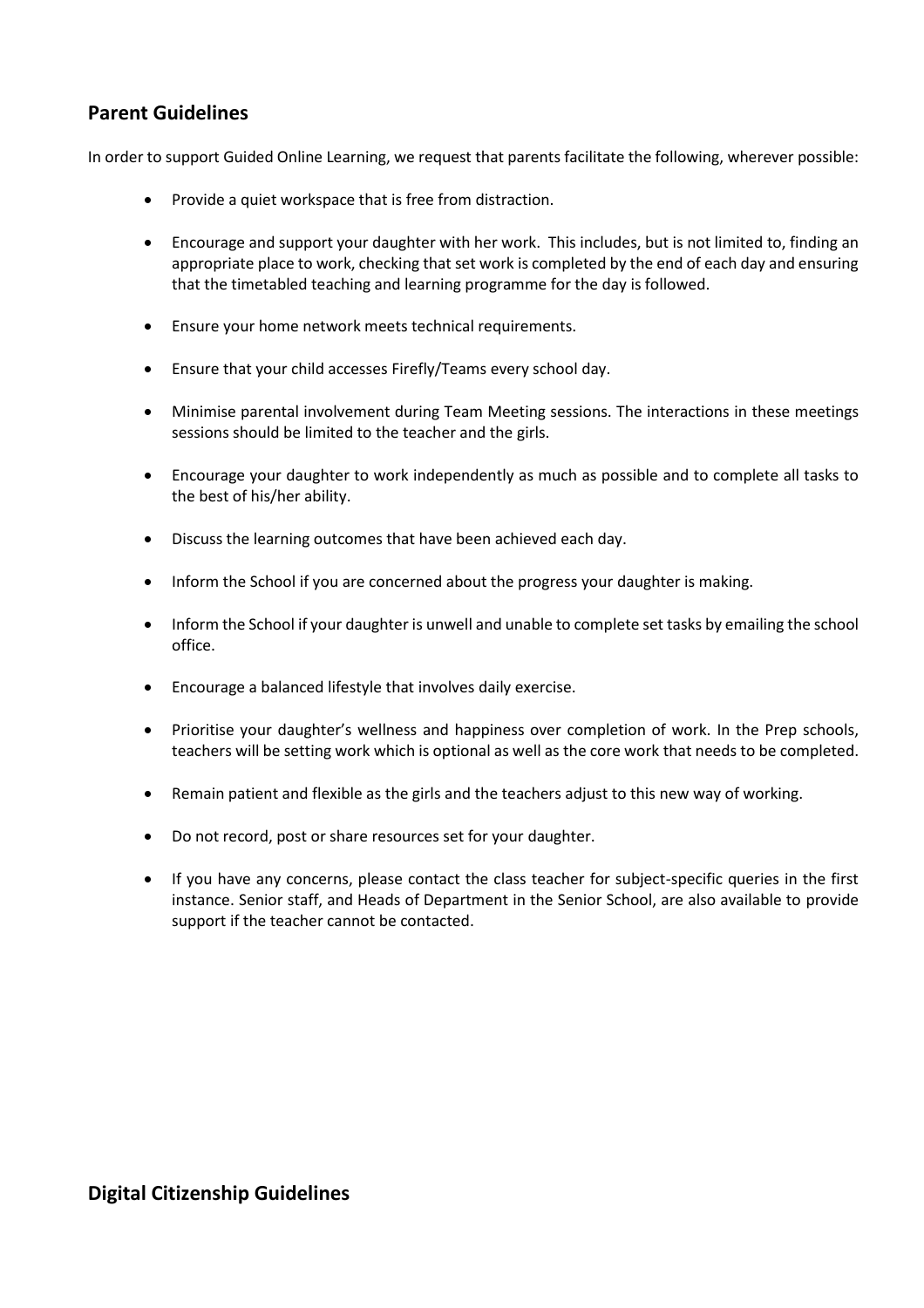## <span id="page-3-0"></span>**Parent Guidelines**

In order to support Guided Online Learning, we request that parents facilitate the following, wherever possible:

- Provide a quiet workspace that is free from distraction.
- Encourage and support your daughter with her work. This includes, but is not limited to, finding an appropriate place to work, checking that set work is completed by the end of each day and ensuring that the timetabled teaching and learning programme for the day is followed.
- Ensure your home network meets technical requirements.
- Ensure that your child accesses Firefly/Teams every school day.
- Minimise parental involvement during Team Meeting sessions. The interactions in these meetings sessions should be limited to the teacher and the girls.
- Encourage your daughter to work independently as much as possible and to complete all tasks to the best of his/her ability.
- Discuss the learning outcomes that have been achieved each day.
- Inform the School if you are concerned about the progress your daughter is making.
- Inform the School if your daughter is unwell and unable to complete set tasks by emailing the school office.
- Encourage a balanced lifestyle that involves daily exercise.
- Prioritise your daughter's wellness and happiness over completion of work. In the Prep schools, teachers will be setting work which is optional as well as the core work that needs to be completed.
- Remain patient and flexible as the girls and the teachers adjust to this new way of working.
- Do not record, post or share resources set for your daughter.
- If you have any concerns, please contact the class teacher for subject-specific queries in the first instance. Senior staff, and Heads of Department in the Senior School, are also available to provide support if the teacher cannot be contacted.

## <span id="page-3-1"></span>**Digital Citizenship Guidelines**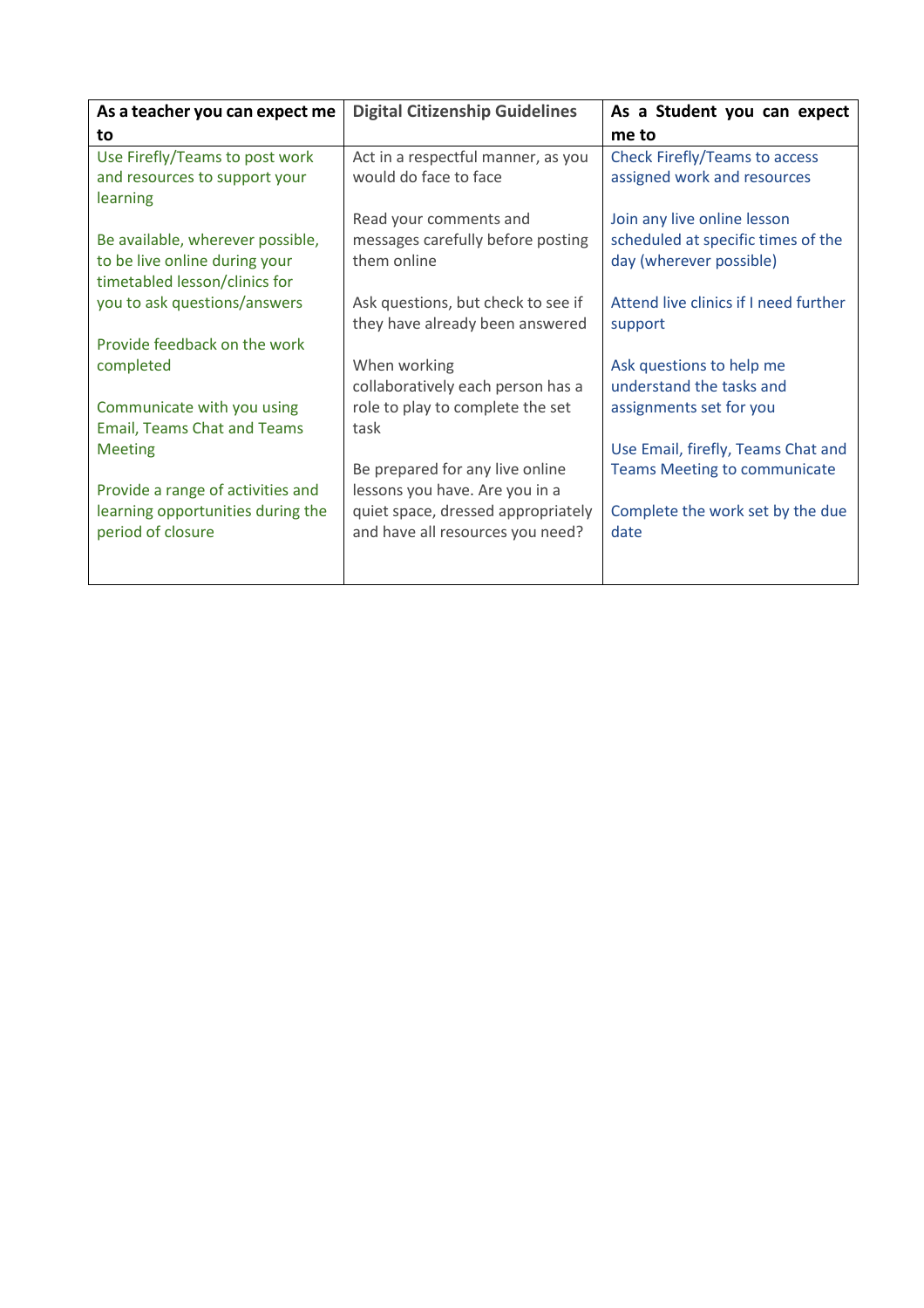| As a teacher you can expect me                                                                     | <b>Digital Citizenship Guidelines</b>                                  | As a Student you can expect                                   |  |  |  |
|----------------------------------------------------------------------------------------------------|------------------------------------------------------------------------|---------------------------------------------------------------|--|--|--|
| to                                                                                                 |                                                                        | me to                                                         |  |  |  |
| Use Firefly/Teams to post work<br>and resources to support your<br>learning                        | Act in a respectful manner, as you<br>would do face to face            | Check Firefly/Teams to access<br>assigned work and resources  |  |  |  |
|                                                                                                    | Read your comments and                                                 | Join any live online lesson                                   |  |  |  |
| Be available, wherever possible,<br>to be live online during your<br>timetabled lesson/clinics for | messages carefully before posting<br>them online                       | scheduled at specific times of the<br>day (wherever possible) |  |  |  |
| you to ask questions/answers                                                                       | Ask questions, but check to see if<br>they have already been answered  | Attend live clinics if I need further<br>support              |  |  |  |
| Provide feedback on the work                                                                       |                                                                        |                                                               |  |  |  |
| completed                                                                                          | When working<br>collaboratively each person has a                      | Ask questions to help me<br>understand the tasks and          |  |  |  |
| Communicate with you using                                                                         | role to play to complete the set                                       | assignments set for you                                       |  |  |  |
| <b>Email, Teams Chat and Teams</b>                                                                 | task                                                                   |                                                               |  |  |  |
| <b>Meeting</b>                                                                                     |                                                                        | Use Email, firefly, Teams Chat and                            |  |  |  |
| Provide a range of activities and                                                                  | Be prepared for any live online<br>lessons you have. Are you in a      | <b>Teams Meeting to communicate</b>                           |  |  |  |
| learning opportunities during the<br>period of closure                                             | quiet space, dressed appropriately<br>and have all resources you need? | Complete the work set by the due<br>date                      |  |  |  |
|                                                                                                    |                                                                        |                                                               |  |  |  |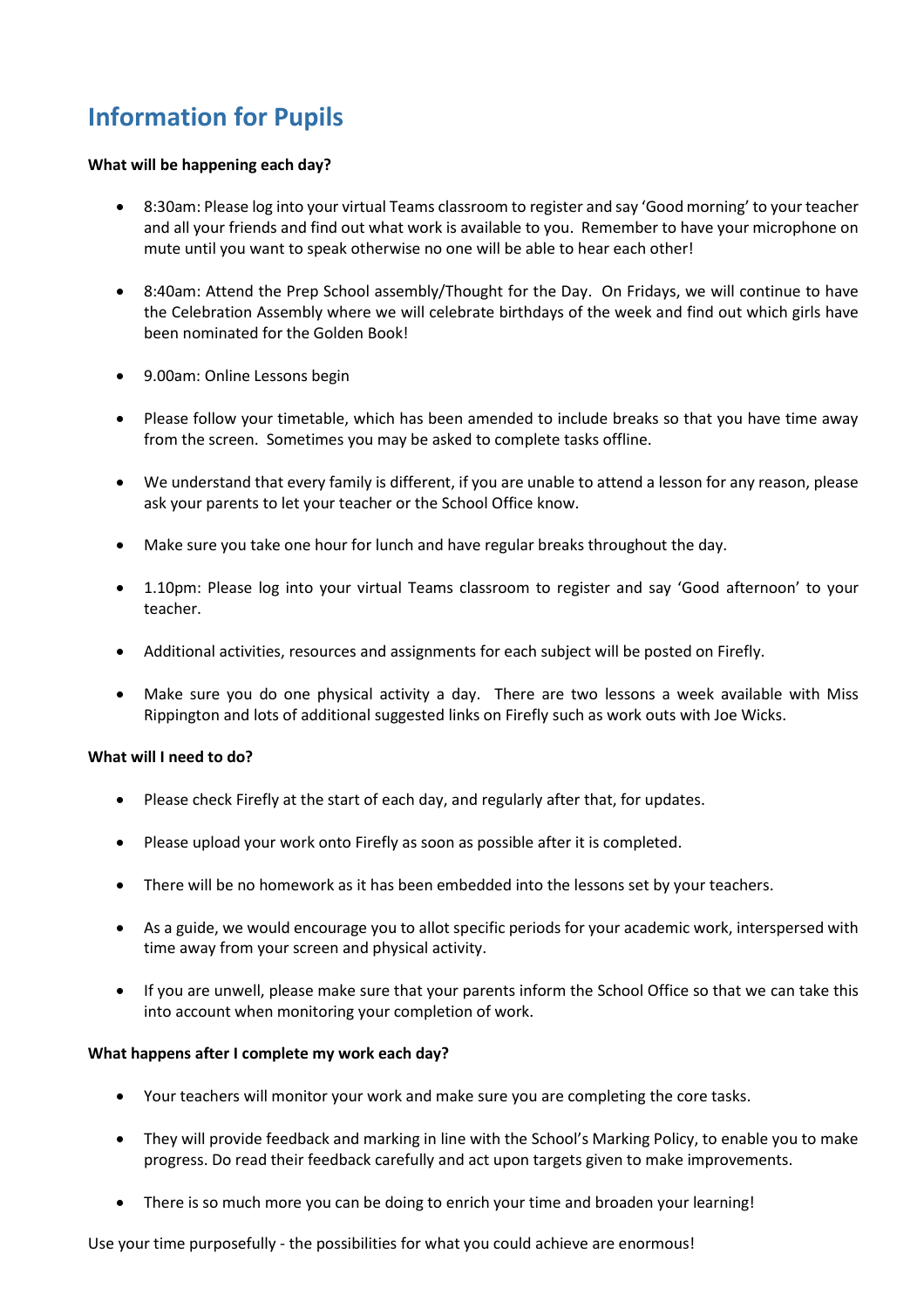# <span id="page-5-0"></span>**Information for Pupils**

### **What will be happening each day?**

- 8:30am: Please log into your virtual Teams classroom to register and say 'Good morning' to your teacher and all your friends and find out what work is available to you. Remember to have your microphone on mute until you want to speak otherwise no one will be able to hear each other!
- 8:40am: Attend the Prep School assembly/Thought for the Day. On Fridays, we will continue to have the Celebration Assembly where we will celebrate birthdays of the week and find out which girls have been nominated for the Golden Book!
- 9.00am: Online Lessons begin
- Please follow your timetable, which has been amended to include breaks so that you have time away from the screen. Sometimes you may be asked to complete tasks offline.
- We understand that every family is different, if you are unable to attend a lesson for any reason, please ask your parents to let your teacher or the School Office know.
- Make sure you take one hour for lunch and have regular breaks throughout the day.
- 1.10pm: Please log into your virtual Teams classroom to register and say 'Good afternoon' to your teacher.
- Additional activities, resources and assignments for each subject will be posted on Firefly.
- Make sure you do one physical activity a day. There are two lessons a week available with Miss Rippington and lots of additional suggested links on Firefly such as work outs with Joe Wicks.

### **What will I need to do?**

- Please check Firefly at the start of each day, and regularly after that, for updates.
- Please upload your work onto Firefly as soon as possible after it is completed.
- There will be no homework as it has been embedded into the lessons set by your teachers.
- As a guide, we would encourage you to allot specific periods for your academic work, interspersed with time away from your screen and physical activity.
- If you are unwell, please make sure that your parents inform the School Office so that we can take this into account when monitoring your completion of work.

### **What happens after I complete my work each day?**

- Your teachers will monitor your work and make sure you are completing the core tasks.
- They will provide feedback and marking in line with the School's Marking Policy, to enable you to make progress. Do read their feedback carefully and act upon targets given to make improvements.
- There is so much more you can be doing to enrich your time and broaden your learning!

Use your time purposefully - the possibilities for what you could achieve are enormous!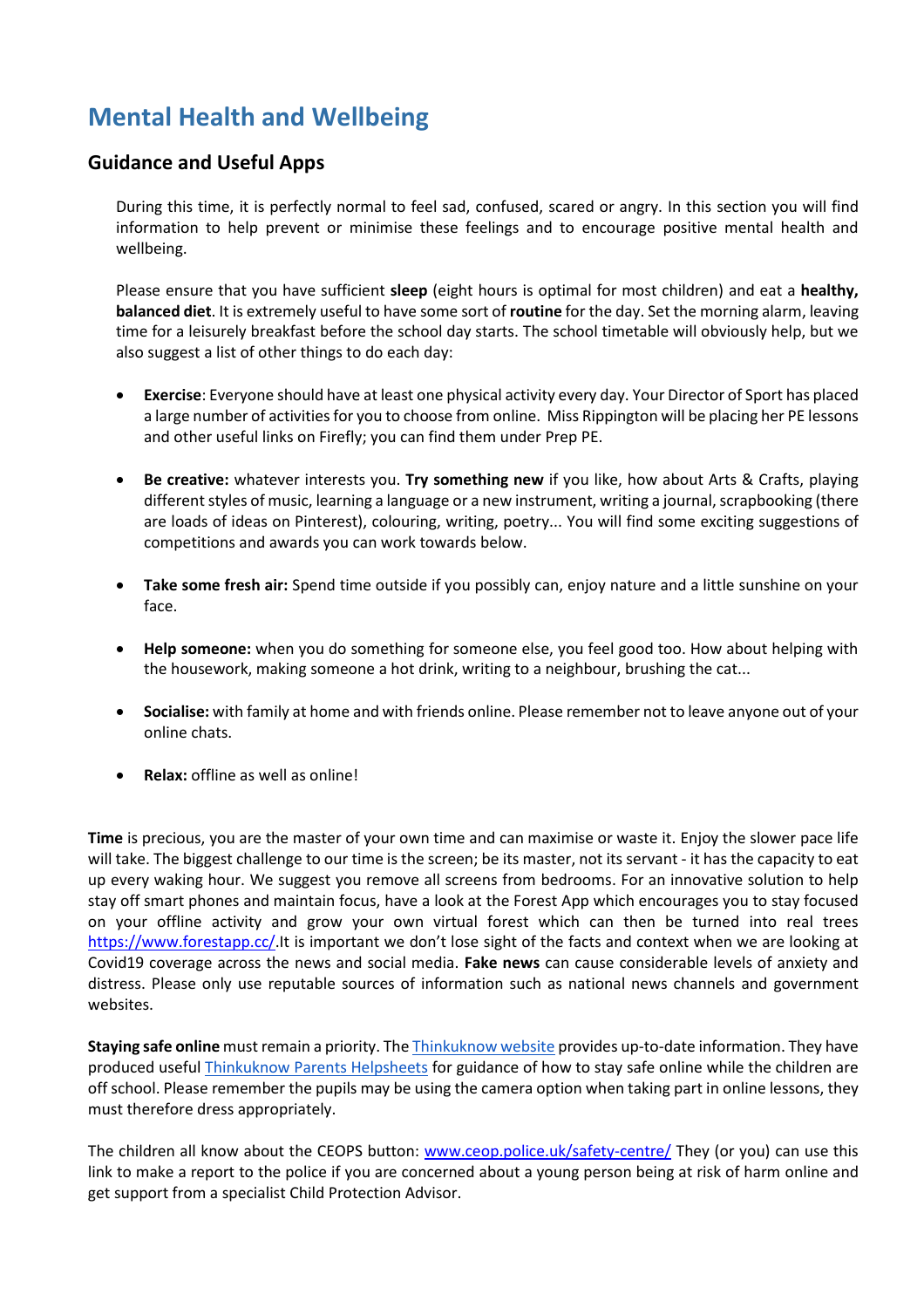# <span id="page-6-0"></span>**Mental Health and Wellbeing**

## <span id="page-6-1"></span>**Guidance and Useful Apps**

During this time, it is perfectly normal to feel sad, confused, scared or angry. In this section you will find information to help prevent or minimise these feelings and to encourage positive mental health and wellbeing.

Please ensure that you have sufficient **sleep** (eight hours is optimal for most children) and eat a **healthy, balanced diet**. It is extremely useful to have some sort of **routine** for the day. Set the morning alarm, leaving time for a leisurely breakfast before the school day starts. The school timetable will obviously help, but we also suggest a list of other things to do each day:

- **Exercise**: Everyone should have at least one physical activity every day. Your Director of Sport has placed a large number of activities for you to choose from online. Miss Rippington will be placing her PE lessons and other useful links on Firefly; you can find them under Prep PE.
- **Be creative:** whatever interests you. **Try something new** if you like, how about Arts & Crafts, playing different styles of music, learning a language or a new instrument, writing a journal, scrapbooking (there are loads of ideas on Pinterest), colouring, writing, poetry... You will find some exciting suggestions of competitions and awards you can work towards below.
- **Take some fresh air:** Spend time outside if you possibly can, enjoy nature and a little sunshine on your face.
- **Help someone:** when you do something for someone else, you feel good too. How about helping with the housework, making someone a hot drink, writing to a neighbour, brushing the cat...
- **Socialise:** with family at home and with friends online. Please remember not to leave anyone out of your online chats.
- **Relax:** offline as well as online!

**Time** is precious, you are the master of your own time and can maximise or waste it. Enjoy the slower pace life will take. The biggest challenge to our time is the screen; be its master, not its servant - it has the capacity to eat up every waking hour. We suggest you remove all screens from bedrooms. For an innovative solution to help stay off smart phones and maintain focus, have a look at the Forest App which encourages you to stay focused on your offline activity and grow your own virtual forest which can then be turned into real trees [https://www.forestapp.cc/.](https://www.forestapp.cc/)It is important we don't lose sight of the facts and context when we are looking at Covid19 coverage across the news and social media. **Fake news** can cause considerable levels of anxiety and distress. Please only use reputable sources of information such as national news channels and government websites.

**Staying safe online** must remain a priority. Th[e Thinkuknow website](https://thinkuknow.us13.list-manage.com/track/click?u=2ae276529dabe14cecc1d261e&id=0d0051ab8a&e=e828a78417) provides up-to-date information. They have produced useful [Thinkuknow Parents Helpsheets](https://thinkuknow.us13.list-manage.com/track/click?u=2ae276529dabe14cecc1d261e&id=58422e77c7&e=e828a78417) for guidance of how to stay safe online while the children are off school. Please remember the pupils may be using the camera option when taking part in online lessons, they must therefore dress appropriately.

The children all know about the CEOPS button: [www.ceop.police.uk/safety-centre/](http://www.ceop.police.uk/safety-centre/) They (or you) can use this link to make a report to the police if you are concerned about a young person being at risk of harm online and get support from a specialist Child Protection Advisor.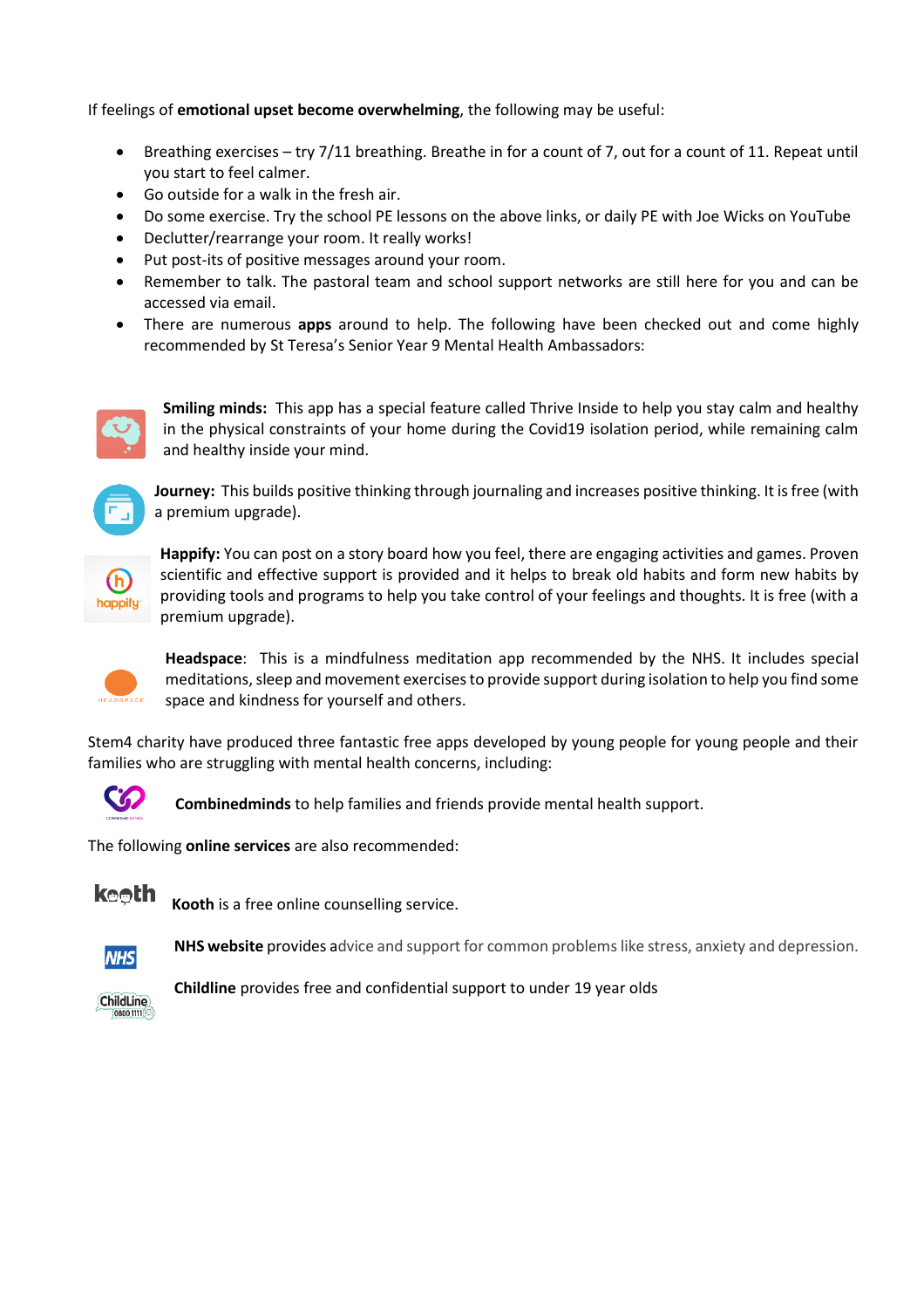If feelings of **emotional upset become overwhelming**, the following may be useful:

- Breathing exercises try 7/11 breathing. Breathe in for a count of 7, out for a count of 11. Repeat until you start to feel calmer.
- Go outside for a walk in the fresh air.
- Do some exercise. Try the school PE lessons on the above links, or daily PE with Joe Wicks on YouTube
- Declutter/rearrange your room. It really works!
- Put post-its of positive messages around your room.
- Remember to talk. The pastoral team and school support networks are still here for you and can be accessed via email.
- There are numerous **apps** around to help. The following have been checked out and come highly recommended by St Teresa's Senior Year 9 Mental Health Ambassadors:



**Smiling minds:** This app has a special feature called Thrive Inside to help you stay calm and healthy in the physical constraints of your home during the Covid19 isolation period, while remaining calm and healthy inside your mind.



**Journey:** This builds positive thinking through journaling and increases positive thinking. It is free (with a premium upgrade).



**Happify:** You can post on a story board how you feel, there are engaging activities and games. Proven scientific and effective support is provided and it helps to break old habits and form new habits by providing tools and programs to help you take control of your feelings and thoughts. It is free (with a premium upgrade).



**Headspace**: This is a mindfulness meditation app recommended by the NHS. It includes special meditations, sleep and movement exercises to provide support during isolation to help you find some space and kindness for yourself and others.

Stem4 charity have produced three fantastic free apps developed by young people for young people and their families who are struggling with mental health concerns, including:



**Combinedminds** to help families and friends provide mental health support.

The following **online services** are also recommended:



**Kooth** is a free online counselling service.



**NHS website** provides advice and support for common problems like stress, anxiety and depression.



**Childline** provides free and confidential support to under 19 year olds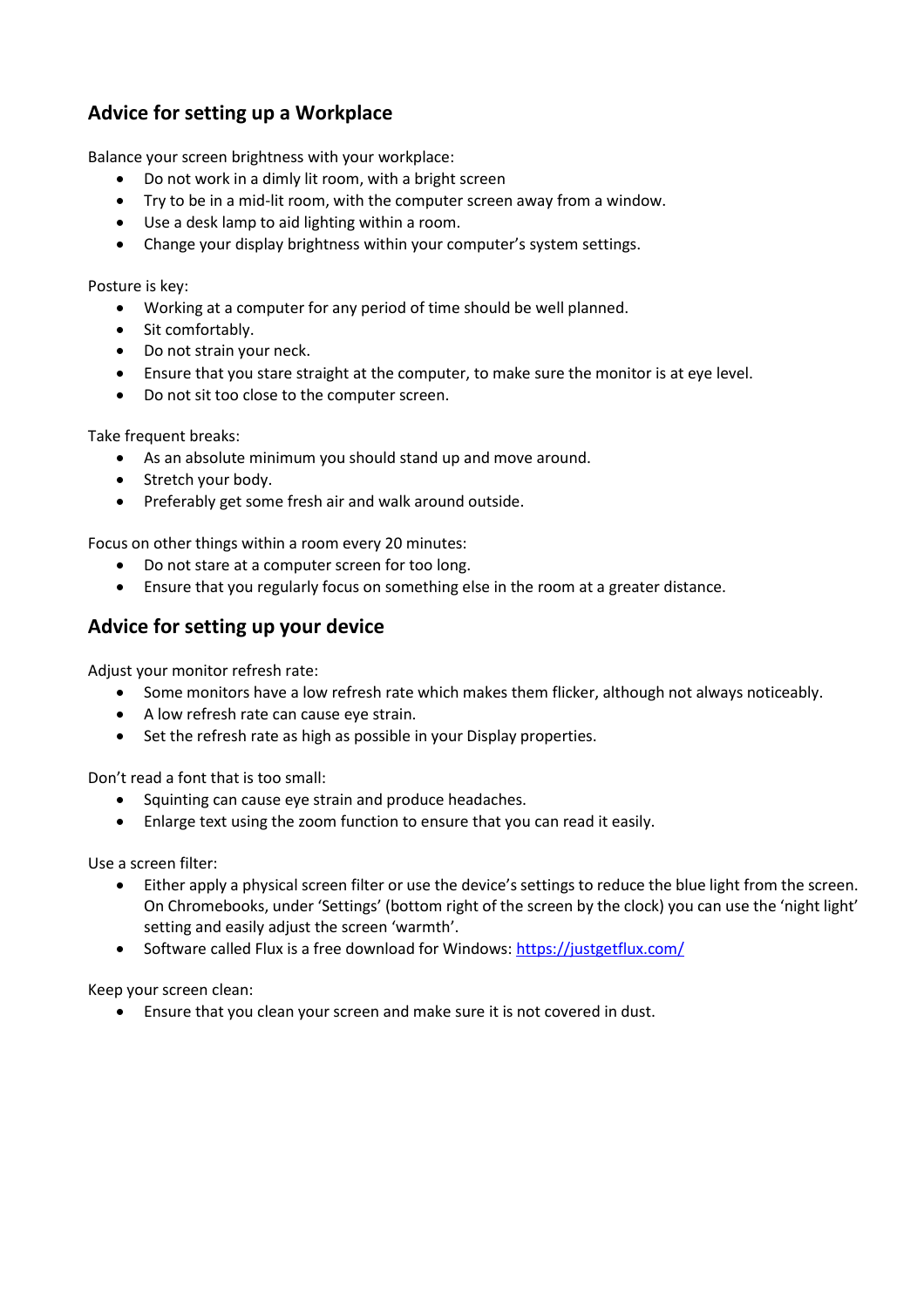## <span id="page-8-0"></span>**Advice for setting up a Workplace**

Balance your screen brightness with your workplace:

- Do not work in a dimly lit room, with a bright screen
- Try to be in a mid-lit room, with the computer screen away from a window.
- Use a desk lamp to aid lighting within a room.
- Change your display brightness within your computer's system settings.

Posture is key:

- Working at a computer for any period of time should be well planned.
- Sit comfortably.
- Do not strain your neck.
- Ensure that you stare straight at the computer, to make sure the monitor is at eye level.
- Do not sit too close to the computer screen.

Take frequent breaks:

- As an absolute minimum you should stand up and move around.
- Stretch your body.
- Preferably get some fresh air and walk around outside.

Focus on other things within a room every 20 minutes:

- Do not stare at a computer screen for too long.
- Ensure that you regularly focus on something else in the room at a greater distance.

## <span id="page-8-1"></span>**Advice for setting up your device**

Adjust your monitor refresh rate:

- Some monitors have a low refresh rate which makes them flicker, although not always noticeably.
- A low refresh rate can cause eye strain.
- Set the refresh rate as high as possible in your Display properties.

Don't read a font that is too small:

- Squinting can cause eye strain and produce headaches.
- Enlarge text using the zoom function to ensure that you can read it easily.

Use a screen filter:

- Either apply a physical screen filter or use the device's settings to reduce the blue light from the screen. On Chromebooks, under 'Settings' (bottom right of the screen by the clock) you can use the 'night light' setting and easily adjust the screen 'warmth'.
- Software called Flux is a free download for Windows:<https://justgetflux.com/>

Keep your screen clean:

Ensure that you clean your screen and make sure it is not covered in dust.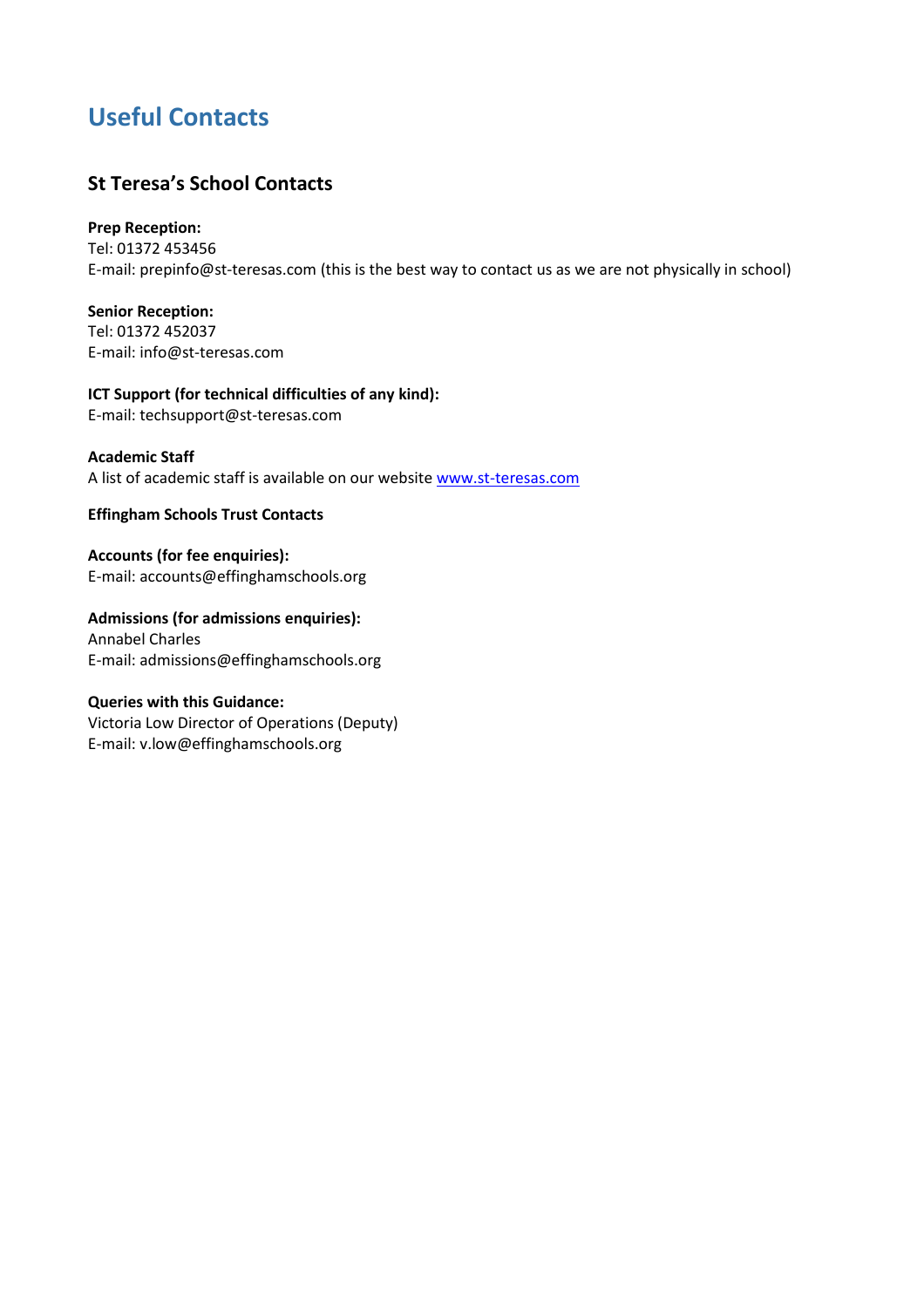# <span id="page-9-0"></span>**Useful Contacts**

## <span id="page-9-1"></span>**St Teresa's School Contacts**

## **Prep Reception:**

Tel: 01372 453456 E-mail: prepinfo@st-teresas.com (this is the best way to contact us as we are not physically in school)

**Senior Reception:** Tel: 01372 452037 E-mail: info@st-teresas.com

**ICT Support (for technical difficulties of any kind):** E-mail: techsupport@st-teresas.com

## **Academic Staff**

A list of academic staff is available on our website [www.st-teresas.com](http://www.st-teresas.com/)

<span id="page-9-2"></span>**Effingham Schools Trust Contacts**

**Accounts (for fee enquiries):** E-mail: accounts@effinghamschools.org

**Admissions (for admissions enquiries):** Annabel Charles E-mail: admissions@effinghamschools.org

## **Queries with this Guidance:**

Victoria Low Director of Operations (Deputy) E-mail: v.low@effinghamschools.org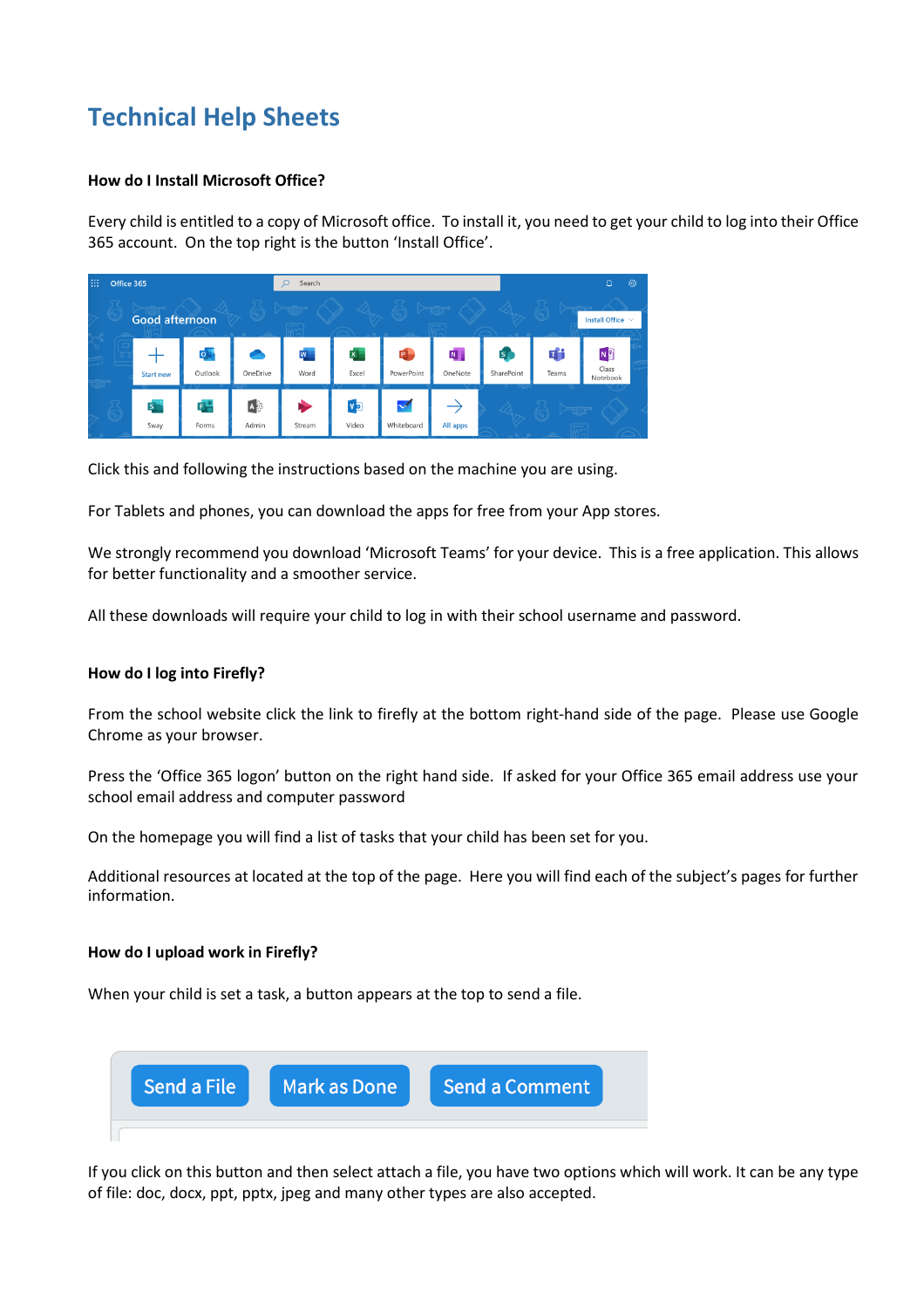# <span id="page-10-0"></span>**Technical Help Sheets**

## <span id="page-10-1"></span>**How do I Install Microsoft Office?**

Every child is entitled to a copy of Microsoft office. To install it, you need to get your child to log into their Office 365 account. On the top right is the button 'Install Office'.

| 曲<br>Office 365 |  |                         |                                      | Q<br>Search                   |             |                             |                            |                            | ි<br>۵                     |            |                                     |
|-----------------|--|-------------------------|--------------------------------------|-------------------------------|-------------|-----------------------------|----------------------------|----------------------------|----------------------------|------------|-------------------------------------|
|                 |  | <b>Good afternoon</b>   |                                      |                               |             |                             |                            |                            |                            |            | Install Office $\sim$               |
|                 |  | <b>Start new</b>        | $\overline{\mathsf{o}}$ .<br>Outlook | OneDrive                      | W<br>Word   | $\mathbf{x}$<br>Excel       | P.<br>PowerPoint           | $N_{\parallel}$<br>OneNote | $\mathsf{s}$<br>SharePoint | Ŵ<br>Teams | N <sub>2</sub><br>Class<br>Notebook |
|                 |  | $S_{\parallel}$<br>Sway | 다<br>Forms                           | $\overrightarrow{A}$<br>Admin | ∙<br>Stream | $V_{\overline{2}}$<br>Video | $\checkmark$<br>Whiteboard | All apps                   |                            |            |                                     |

Click this and following the instructions based on the machine you are using.

For Tablets and phones, you can download the apps for free from your App stores.

We strongly recommend you download 'Microsoft Teams' for your device. This is a free application. This allows for better functionality and a smoother service.

All these downloads will require your child to log in with their school username and password.

### <span id="page-10-2"></span>**How do I log into Firefly?**

From the school website click the link to firefly at the bottom right-hand side of the page. Please use Google Chrome as your browser.

Press the 'Office 365 logon' button on the right hand side. If asked for your Office 365 email address use your school email address and computer password

On the homepage you will find a list of tasks that your child has been set for you.

Additional resources at located at the top of the page. Here you will find each of the subject's pages for further information.

## <span id="page-10-3"></span>**How do I upload work in Firefly?**

When your child is set a task, a button appears at the top to send a file.



If you click on this button and then select attach a file, you have two options which will work. It can be any type of file: doc, docx, ppt, pptx, jpeg and many other types are also accepted.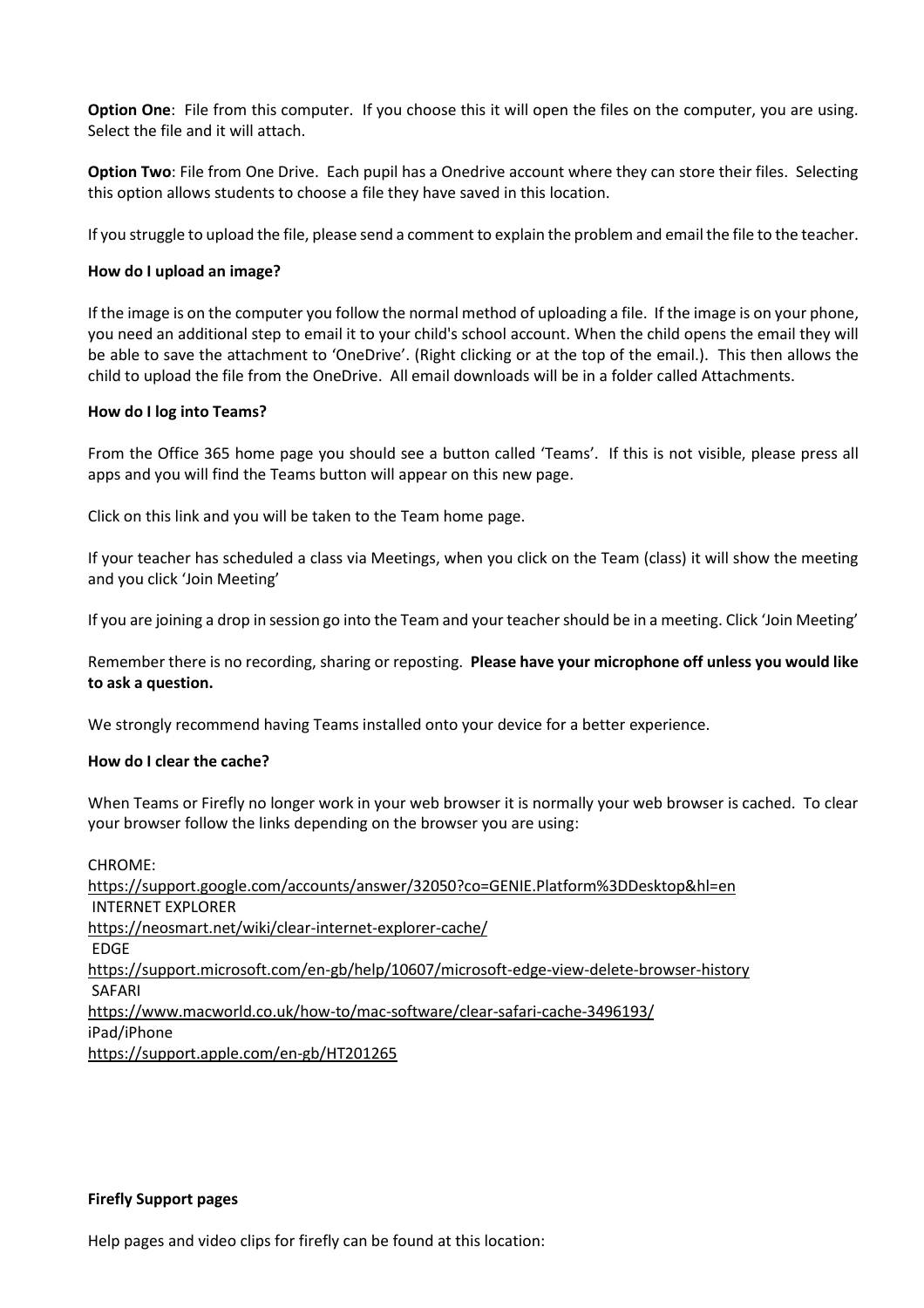**Option One**: File from this computer. If you choose this it will open the files on the computer, you are using. Select the file and it will attach.

**Option Two**: File from One Drive. Each pupil has a Onedrive account where they can store their files. Selecting this option allows students to choose a file they have saved in this location.

If you struggle to upload the file, please send a comment to explain the problem and email the file to the teacher.

#### <span id="page-11-0"></span>**How do I upload an image?**

If the image is on the computer you follow the normal method of uploading a file. If the image is on your phone, you need an additional step to email it to your child's school account. When the child opens the email they will be able to save the attachment to 'OneDrive'. (Right clicking or at the top of the email.). This then allows the child to upload the file from the OneDrive. All email downloads will be in a folder called Attachments.

#### <span id="page-11-1"></span>**How do I log into Teams?**

From the Office 365 home page you should see a button called 'Teams'. If this is not visible, please press all apps and you will find the Teams button will appear on this new page.

Click on this link and you will be taken to the Team home page.

If your teacher has scheduled a class via Meetings, when you click on the Team (class) it will show the meeting and you click 'Join Meeting'

If you are joining a drop in session go into the Team and your teacher should be in a meeting. Click 'Join Meeting'

Remember there is no recording, sharing or reposting. **Please have your microphone off unless you would like to ask a question.** 

We strongly recommend having Teams installed onto your device for a better experience.

#### <span id="page-11-2"></span>**How do I clear the cache?**

When Teams or Firefly no longer work in your web browser it is normally your web browser is cached. To clear your browser follow the links depending on the browser you are using:

CHROME: <https://support.google.com/accounts/answer/32050?co=GENIE.Platform%3DDesktop&hl=en> INTERNET EXPLORER <https://neosmart.net/wiki/clear-internet-explorer-cache/> EDGE <https://support.microsoft.com/en-gb/help/10607/microsoft-edge-view-delete-browser-history> SAFARI <https://www.macworld.co.uk/how-to/mac-software/clear-safari-cache-3496193/> iPad/iPhone <https://support.apple.com/en-gb/HT201265>

#### **Firefly Support pages**

Help pages and video clips for firefly can be found at this location: